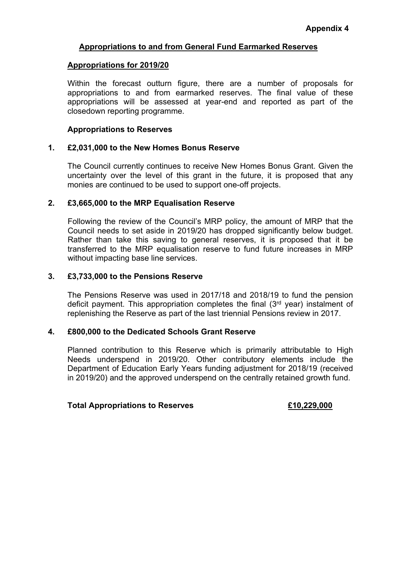## **Appropriations for 2019/20**

Within the forecast outturn figure, there are a number of proposals for appropriations to and from earmarked reserves. The final value of these appropriations will be assessed at year-end and reported as part of the closedown reporting programme.

### **Appropriations to Reserves**

## **1. £2,031,000 to the New Homes Bonus Reserve**

The Council currently continues to receive New Homes Bonus Grant. Given the uncertainty over the level of this grant in the future, it is proposed that any monies are continued to be used to support one-off projects.

## **2. £3,665,000 to the MRP Equalisation Reserve**

Following the review of the Council's MRP policy, the amount of MRP that the Council needs to set aside in 2019/20 has dropped significantly below budget. Rather than take this saving to general reserves, it is proposed that it be transferred to the MRP equalisation reserve to fund future increases in MRP without impacting base line services.

### **3. £3,733,000 to the Pensions Reserve**

The Pensions Reserve was used in 2017/18 and 2018/19 to fund the pension deficit payment. This appropriation completes the final  $(3<sup>rd</sup>$  year) instalment of replenishing the Reserve as part of the last triennial Pensions review in 2017.

### **4. £800,000 to the Dedicated Schools Grant Reserve**

Planned contribution to this Reserve which is primarily attributable to High Needs underspend in 2019/20. Other contributory elements include the Department of Education Early Years funding adjustment for 2018/19 (received in 2019/20) and the approved underspend on the centrally retained growth fund.

### **Total Appropriations to Reserves £10,229,000**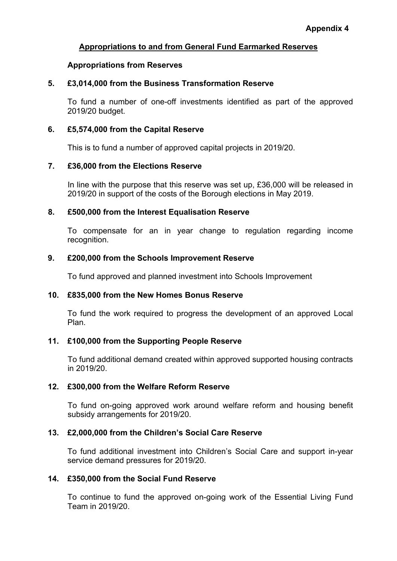## **Appropriations from Reserves**

## **5. £3,014,000 from the Business Transformation Reserve**

To fund a number of one-off investments identified as part of the approved 2019/20 budget.

## **6. £5,574,000 from the Capital Reserve**

This is to fund a number of approved capital projects in 2019/20.

## **7. £36,000 from the Elections Reserve**

In line with the purpose that this reserve was set up, £36,000 will be released in 2019/20 in support of the costs of the Borough elections in May 2019.

## **8. £500,000 from the Interest Equalisation Reserve**

To compensate for an in year change to regulation regarding income recognition.

## **9. £200,000 from the Schools Improvement Reserve**

To fund approved and planned investment into Schools Improvement

# **10. £835,000 from the New Homes Bonus Reserve**

To fund the work required to progress the development of an approved Local Plan.

# **11. £100,000 from the Supporting People Reserve**

To fund additional demand created within approved supported housing contracts in 2019/20.

# **12. £300,000 from the Welfare Reform Reserve**

To fund on-going approved work around welfare reform and housing benefit subsidy arrangements for 2019/20.

# **13. £2,000,000 from the Children's Social Care Reserve**

To fund additional investment into Children's Social Care and support in-year service demand pressures for 2019/20.

### **14. £350,000 from the Social Fund Reserve**

To continue to fund the approved on-going work of the Essential Living Fund Team in 2019/20.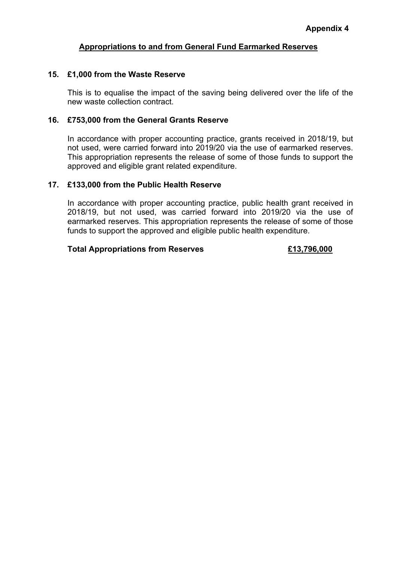## **15. £1,000 from the Waste Reserve**

This is to equalise the impact of the saving being delivered over the life of the new waste collection contract.

### **16. £753,000 from the General Grants Reserve**

In accordance with proper accounting practice, grants received in 2018/19, but not used, were carried forward into 2019/20 via the use of earmarked reserves. This appropriation represents the release of some of those funds to support the approved and eligible grant related expenditure.

## **17. £133,000 from the Public Health Reserve**

In accordance with proper accounting practice, public health grant received in 2018/19, but not used, was carried forward into 2019/20 via the use of earmarked reserves. This appropriation represents the release of some of those funds to support the approved and eligible public health expenditure.

## **Total Appropriations from Reserves £13,796,000**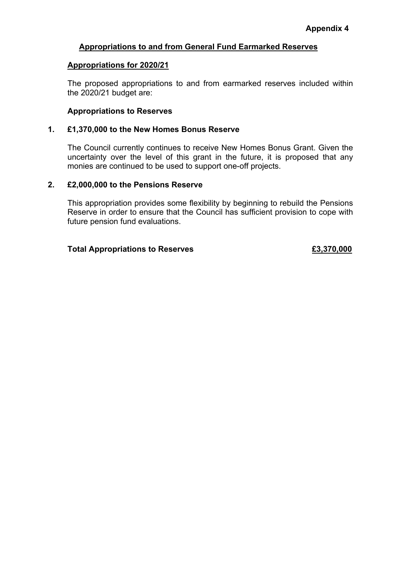# **Appropriations for 2020/21**

The proposed appropriations to and from earmarked reserves included within the 2020/21 budget are:

## **Appropriations to Reserves**

## **1. £1,370,000 to the New Homes Bonus Reserve**

The Council currently continues to receive New Homes Bonus Grant. Given the uncertainty over the level of this grant in the future, it is proposed that any monies are continued to be used to support one-off projects.

## **2. £2,000,000 to the Pensions Reserve**

This appropriation provides some flexibility by beginning to rebuild the Pensions Reserve in order to ensure that the Council has sufficient provision to cope with future pension fund evaluations.

# **Total Appropriations to Reserves £3,370,000**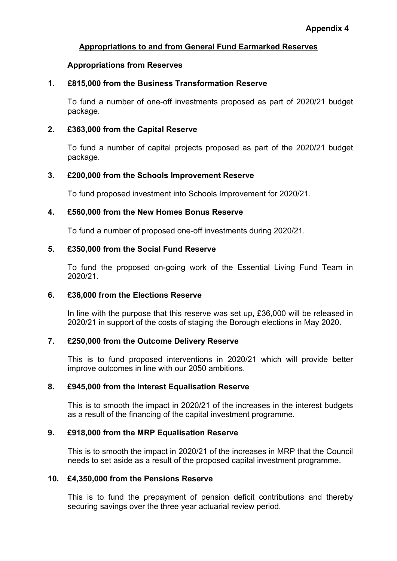## **Appropriations from Reserves**

## **1. £815,000 from the Business Transformation Reserve**

To fund a number of one-off investments proposed as part of 2020/21 budget package.

## **2. £363,000 from the Capital Reserve**

To fund a number of capital projects proposed as part of the 2020/21 budget package.

## **3. £200,000 from the Schools Improvement Reserve**

To fund proposed investment into Schools Improvement for 2020/21.

## **4. £560,000 from the New Homes Bonus Reserve**

To fund a number of proposed one-off investments during 2020/21.

## **5. £350,000 from the Social Fund Reserve**

To fund the proposed on-going work of the Essential Living Fund Team in 2020/21.

# **6. £36,000 from the Elections Reserve**

In line with the purpose that this reserve was set up, £36,000 will be released in 2020/21 in support of the costs of staging the Borough elections in May 2020.

# **7. £250,000 from the Outcome Delivery Reserve**

This is to fund proposed interventions in 2020/21 which will provide better improve outcomes in line with our 2050 ambitions.

# **8. £945,000 from the Interest Equalisation Reserve**

This is to smooth the impact in 2020/21 of the increases in the interest budgets as a result of the financing of the capital investment programme.

# **9. £918,000 from the MRP Equalisation Reserve**

This is to smooth the impact in 2020/21 of the increases in MRP that the Council needs to set aside as a result of the proposed capital investment programme.

### **10. £4,350,000 from the Pensions Reserve**

This is to fund the prepayment of pension deficit contributions and thereby securing savings over the three year actuarial review period.